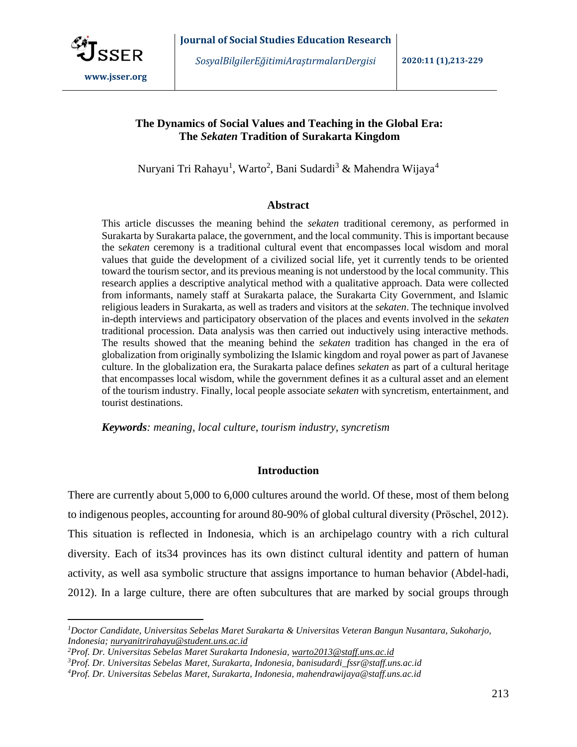

 $\overline{a}$ 

*SosyalBilgilerEğitimiAraştırmalarıDergisi* **2020:11 (1),213-229**

# **The Dynamics of Social Values and Teaching in the Global Era: The** *Sekaten* **Tradition of Surakarta Kingdom**

Nuryani Tri Rahayu<sup>1</sup>, Warto<sup>2</sup>, Bani Sudardi<sup>3</sup> & Mahendra Wijaya<sup>4</sup>

## **Abstract**

This article discusses the meaning behind the *sekaten* traditional ceremony, as performed in Surakarta by Surakarta palace, the government, and the local community. This is important because the s*ekaten* ceremony is a traditional cultural event that encompasses local wisdom and moral values that guide the development of a civilized social life, yet it currently tends to be oriented toward the tourism sector, and its previous meaning is not understood by the local community. This research applies a descriptive analytical method with a qualitative approach. Data were collected from informants, namely staff at Surakarta palace, the Surakarta City Government, and Islamic religious leaders in Surakarta, as well as traders and visitors at the *sekaten*. The technique involved in-depth interviews and participatory observation of the places and events involved in the *sekaten* traditional procession. Data analysis was then carried out inductively using interactive methods. The results showed that the meaning behind the *sekaten* tradition has changed in the era of globalization from originally symbolizing the Islamic kingdom and royal power as part of Javanese culture. In the globalization era, the Surakarta palace defines *sekaten* as part of a cultural heritage that encompasses local wisdom, while the government defines it as a cultural asset and an element of the tourism industry. Finally, local people associate *sekaten* with syncretism, entertainment, and tourist destinations.

*Keywords: meaning, local culture, tourism industry, syncretism*

# **Introduction**

There are currently about 5,000 to 6,000 cultures around the world. Of these, most of them belong to indigenous peoples, accounting for around 80-90% of global cultural diversity (Pröschel, 2012). This situation is reflected in Indonesia, which is an archipelago country with a rich cultural diversity. Each of its34 provinces has its own distinct cultural identity and pattern of human activity, as well asa symbolic structure that assigns importance to human behavior (Abdel-hadi, 2012). In a large culture, there are often subcultures that are marked by social groups through

*<sup>1</sup>Doctor Candidate, Universitas Sebelas Maret Surakarta & Universitas Veteran Bangun Nusantara, Sukoharjo, Indonesia; [nuryanitrirahayu@student.uns.ac.id](mailto:nuryanitrirahayu@student.uns.ac.id)*

*<sup>2</sup>Prof. Dr. Universitas Sebelas Maret Surakarta Indonesia, [warto2013@staff.uns.ac.id](mailto:warto2013@staff.uns.ac.id)*

*<sup>3</sup>Prof. Dr. Universitas Sebelas Maret, Surakarta, Indonesia, banisudardi\_fssr@staff.uns.ac.id*

*<sup>4</sup>Prof. Dr. Universitas Sebelas Maret, Surakarta, Indonesia, mahendrawijaya@staff.uns.ac.id*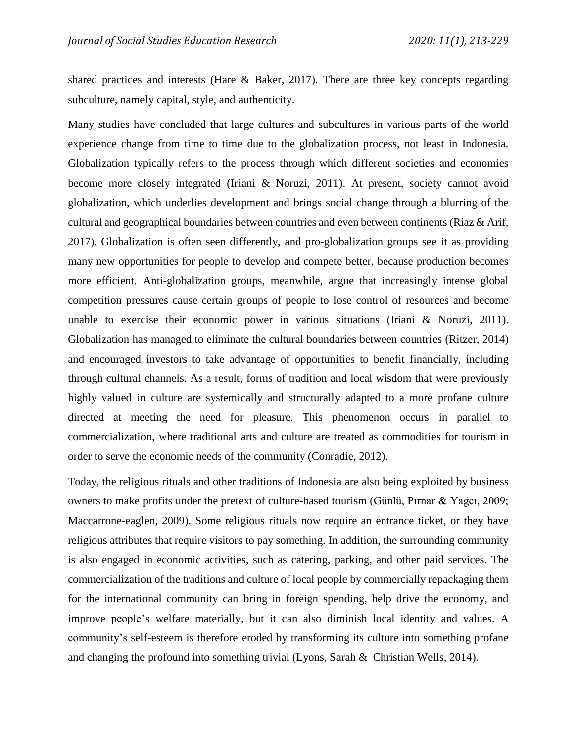shared practices and interests (Hare & Baker, 2017). There are three key concepts regarding subculture, namely capital, style, and authenticity.

Many studies have concluded that large cultures and subcultures in various parts of the world experience change from time to time due to the globalization process, not least in Indonesia. Globalization typically refers to the process through which different societies and economies become more closely integrated (Iriani & Noruzi, 2011). At present, society cannot avoid globalization, which underlies development and brings social change through a blurring of the cultural and geographical boundaries between countries and even between continents (Riaz & Arif, 2017). Globalization is often seen differently, and pro-globalization groups see it as providing many new opportunities for people to develop and compete better, because production becomes more efficient. Anti-globalization groups, meanwhile, argue that increasingly intense global competition pressures cause certain groups of people to lose control of resources and become unable to exercise their economic power in various situations (Iriani & Noruzi, 2011). Globalization has managed to eliminate the cultural boundaries between countries (Ritzer, 2014) and encouraged investors to take advantage of opportunities to benefit financially, including through cultural channels. As a result, forms of tradition and local wisdom that were previously highly valued in culture are systemically and structurally adapted to a more profane culture directed at meeting the need for pleasure. This phenomenon occurs in parallel to commercialization, where traditional arts and culture are treated as commodities for tourism in order to serve the economic needs of the community (Conradie, 2012).

Today, the religious rituals and other traditions of Indonesia are also being exploited by business owners to make profits under the pretext of culture-based tourism (Günlü, Pırnar & Yağcı, 2009; Maccarrone-eaglen, 2009). Some religious rituals now require an entrance ticket, or they have religious attributes that require visitors to pay something. In addition, the surrounding community is also engaged in economic activities, such as catering, parking, and other paid services. The commercialization of the traditions and culture of local people by commercially repackaging them for the international community can bring in foreign spending, help drive the economy, and improve people's welfare materially, but it can also diminish local identity and values. A community's self-esteem is therefore eroded by transforming its culture into something profane and changing the profound into something trivial (Lyons, Sarah & Christian Wells, 2014).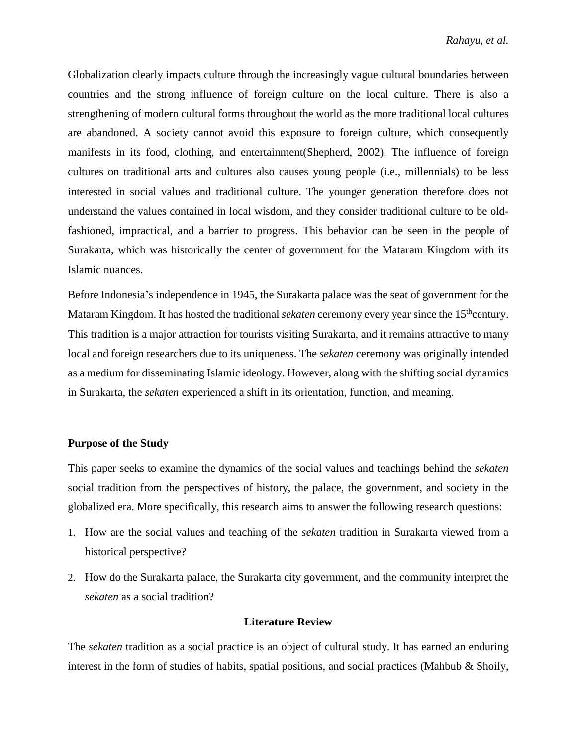Globalization clearly impacts culture through the increasingly vague cultural boundaries between countries and the strong influence of foreign culture on the local culture. There is also a strengthening of modern cultural forms throughout the world as the more traditional local cultures are abandoned. A society cannot avoid this exposure to foreign culture, which consequently manifests in its food, clothing, and entertainment(Shepherd, 2002). The influence of foreign cultures on traditional arts and cultures also causes young people (i.e., millennials) to be less interested in social values and traditional culture. The younger generation therefore does not understand the values contained in local wisdom, and they consider traditional culture to be oldfashioned, impractical, and a barrier to progress. This behavior can be seen in the people of Surakarta, which was historically the center of government for the Mataram Kingdom with its Islamic nuances.

Before Indonesia's independence in 1945, the Surakarta palace was the seat of government for the Mataram Kingdom. It has hosted the traditional *sekaten* ceremony every year since the 15<sup>th</sup>century. This tradition is a major attraction for tourists visiting Surakarta, and it remains attractive to many local and foreign researchers due to its uniqueness. The *sekaten* ceremony was originally intended as a medium for disseminating Islamic ideology. However, along with the shifting social dynamics in Surakarta, the *sekaten* experienced a shift in its orientation, function, and meaning.

### **Purpose of the Study**

This paper seeks to examine the dynamics of the social values and teachings behind the *sekaten* social tradition from the perspectives of history, the palace, the government, and society in the globalized era. More specifically, this research aims to answer the following research questions:

- 1. How are the social values and teaching of the *sekaten* tradition in Surakarta viewed from a historical perspective?
- 2. How do the Surakarta palace, the Surakarta city government, and the community interpret the *sekaten* as a social tradition?

# **Literature Review**

The *sekaten* tradition as a social practice is an object of cultural study. It has earned an enduring interest in the form of studies of habits, spatial positions, and social practices (Mahbub & Shoily,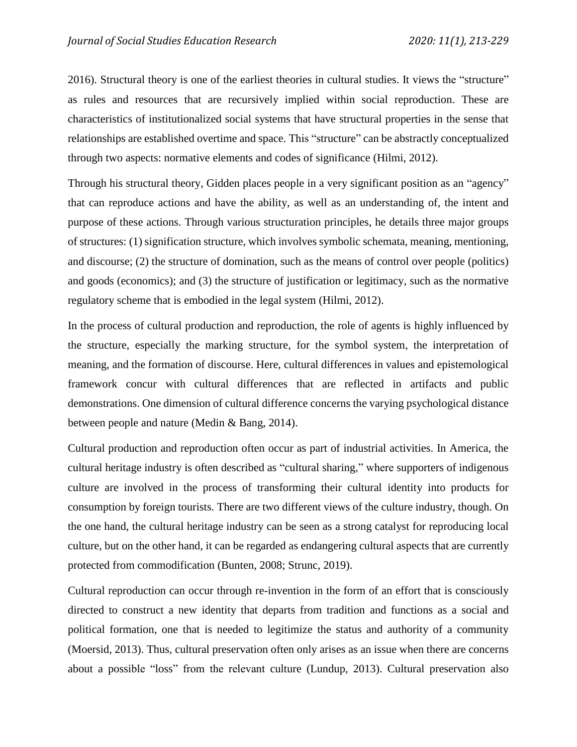2016). Structural theory is one of the earliest theories in cultural studies. It views the "structure" as rules and resources that are recursively implied within social reproduction. These are characteristics of institutionalized social systems that have structural properties in the sense that relationships are established overtime and space. This "structure" can be abstractly conceptualized through two aspects: normative elements and codes of significance (Hilmi, 2012).

Through his structural theory, Gidden places people in a very significant position as an "agency" that can reproduce actions and have the ability, as well as an understanding of, the intent and purpose of these actions. Through various structuration principles, he details three major groups of structures: (1) signification structure, which involves symbolic schemata, meaning, mentioning, and discourse; (2) the structure of domination, such as the means of control over people (politics) and goods (economics); and (3) the structure of justification or legitimacy, such as the normative regulatory scheme that is embodied in the legal system (Hilmi, 2012).

In the process of cultural production and reproduction, the role of agents is highly influenced by the structure, especially the marking structure, for the symbol system, the interpretation of meaning, and the formation of discourse. Here, cultural differences in values and epistemological framework concur with cultural differences that are reflected in artifacts and public demonstrations. One dimension of cultural difference concerns the varying psychological distance between people and nature (Medin & Bang, 2014).

Cultural production and reproduction often occur as part of industrial activities. In America, the cultural heritage industry is often described as "cultural sharing," where supporters of indigenous culture are involved in the process of transforming their cultural identity into products for consumption by foreign tourists. There are two different views of the culture industry, though. On the one hand, the cultural heritage industry can be seen as a strong catalyst for reproducing local culture, but on the other hand, it can be regarded as endangering cultural aspects that are currently protected from commodification (Bunten, 2008; Strunc, 2019).

Cultural reproduction can occur through re-invention in the form of an effort that is consciously directed to construct a new identity that departs from tradition and functions as a social and political formation, one that is needed to legitimize the status and authority of a community (Moersid, 2013). Thus, cultural preservation often only arises as an issue when there are concerns about a possible "loss" from the relevant culture (Lundup, 2013). Cultural preservation also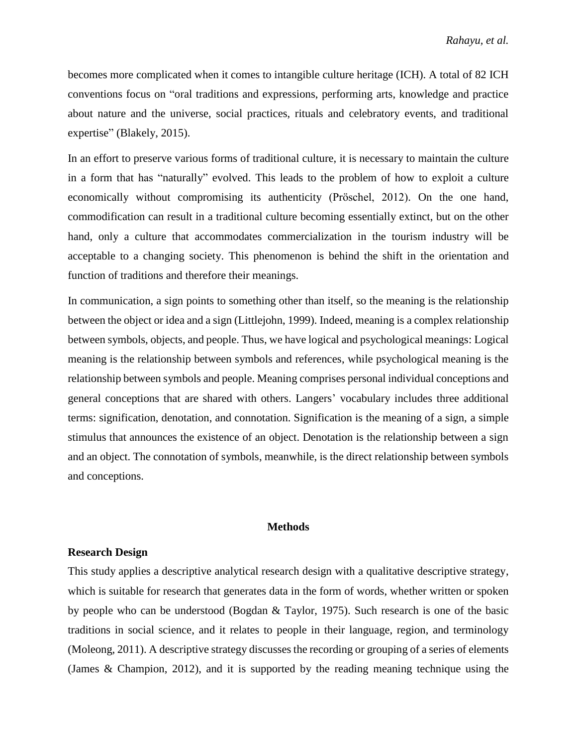becomes more complicated when it comes to intangible culture heritage (ICH). A total of 82 ICH conventions focus on "oral traditions and expressions, performing arts, knowledge and practice about nature and the universe, social practices, rituals and celebratory events, and traditional expertise" (Blakely, 2015).

In an effort to preserve various forms of traditional culture, it is necessary to maintain the culture in a form that has "naturally" evolved. This leads to the problem of how to exploit a culture economically without compromising its authenticity (Pröschel, 2012). On the one hand, commodification can result in a traditional culture becoming essentially extinct, but on the other hand, only a culture that accommodates commercialization in the tourism industry will be acceptable to a changing society. This phenomenon is behind the shift in the orientation and function of traditions and therefore their meanings.

In communication, a sign points to something other than itself, so the meaning is the relationship between the object or idea and a sign (Littlejohn, 1999). Indeed, meaning is a complex relationship between symbols, objects, and people. Thus, we have logical and psychological meanings: Logical meaning is the relationship between symbols and references, while psychological meaning is the relationship between symbols and people. Meaning comprises personal individual conceptions and general conceptions that are shared with others. Langers' vocabulary includes three additional terms: signification, denotation, and connotation. Signification is the meaning of a sign, a simple stimulus that announces the existence of an object. Denotation is the relationship between a sign and an object. The connotation of symbols, meanwhile, is the direct relationship between symbols and conceptions.

### **Methods**

### **Research Design**

This study applies a descriptive analytical research design with a qualitative descriptive strategy, which is suitable for research that generates data in the form of words, whether written or spoken by people who can be understood (Bogdan & Taylor, 1975). Such research is one of the basic traditions in social science, and it relates to people in their language, region, and terminology (Moleong, 2011). A descriptive strategy discusses the recording or grouping of a series of elements (James & Champion, 2012), and it is supported by the reading meaning technique using the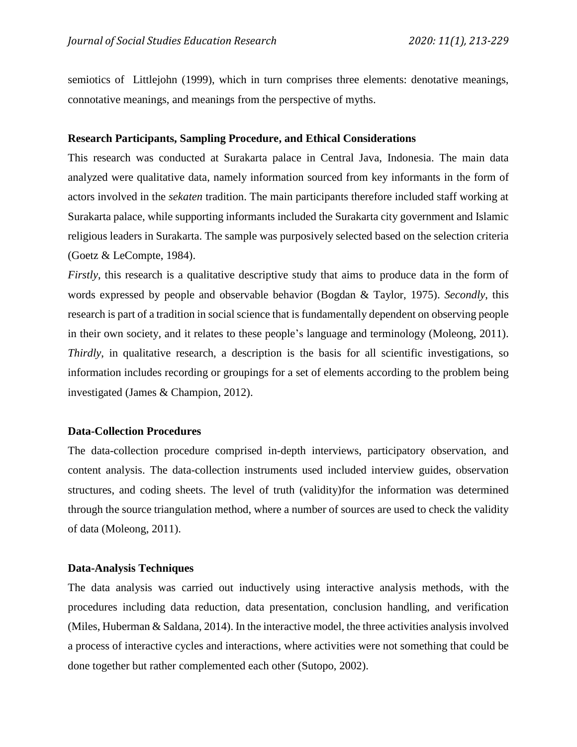semiotics of Littlejohn (1999), which in turn comprises three elements: denotative meanings, connotative meanings, and meanings from the perspective of myths.

## **Research Participants, Sampling Procedure, and Ethical Considerations**

This research was conducted at Surakarta palace in Central Java, Indonesia. The main data analyzed were qualitative data, namely information sourced from key informants in the form of actors involved in the *sekaten* tradition. The main participants therefore included staff working at Surakarta palace, while supporting informants included the Surakarta city government and Islamic religious leaders in Surakarta. The sample was purposively selected based on the selection criteria (Goetz & LeCompte, 1984).

*Firstly*, this research is a qualitative descriptive study that aims to produce data in the form of words expressed by people and observable behavior (Bogdan & Taylor, 1975). *Secondly*, this research is part of a tradition in social science that is fundamentally dependent on observing people in their own society, and it relates to these people's language and terminology (Moleong, 2011). *Thirdly*, in qualitative research, a description is the basis for all scientific investigations, so information includes recording or groupings for a set of elements according to the problem being investigated (James & Champion, 2012).

## **Data-Collection Procedures**

The data-collection procedure comprised in-depth interviews, participatory observation, and content analysis. The data-collection instruments used included interview guides, observation structures, and coding sheets. The level of truth (validity)for the information was determined through the source triangulation method, where a number of sources are used to check the validity of data (Moleong, 2011).

## **Data-Analysis Techniques**

The data analysis was carried out inductively using interactive analysis methods, with the procedures including data reduction, data presentation, conclusion handling, and verification (Miles, Huberman & Saldana, 2014). In the interactive model, the three activities analysis involved a process of interactive cycles and interactions, where activities were not something that could be done together but rather complemented each other (Sutopo, 2002).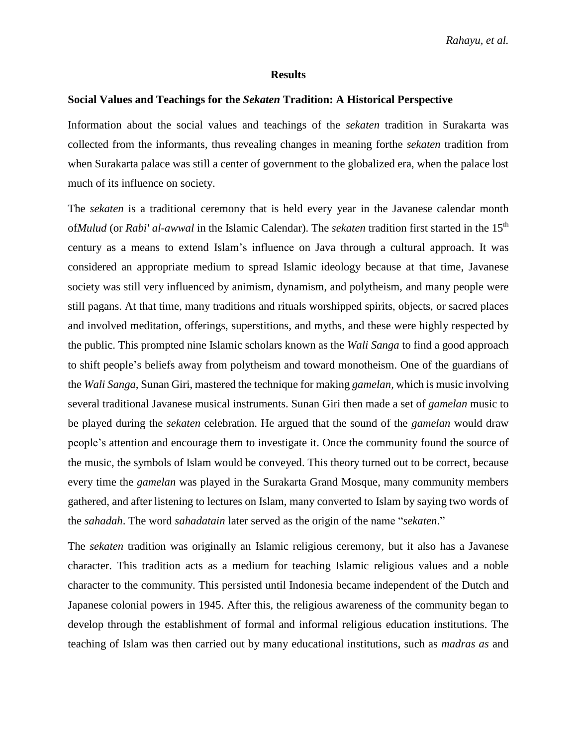#### **Results**

#### **Social Values and Teachings for the** *Sekaten* **Tradition: A Historical Perspective**

Information about the social values and teachings of the *sekaten* tradition in Surakarta was collected from the informants, thus revealing changes in meaning forthe *sekaten* tradition from when Surakarta palace was still a center of government to the globalized era, when the palace lost much of its influence on society.

The *sekaten* is a traditional ceremony that is held every year in the Javanese calendar month of*Mulud* (or *Rabi' al-awwal* in the Islamic Calendar). The *sekaten* tradition first started in the 15th century as a means to extend Islam's influence on Java through a cultural approach. It was considered an appropriate medium to spread Islamic ideology because at that time, Javanese society was still very influenced by animism, dynamism, and polytheism, and many people were still pagans. At that time, many traditions and rituals worshipped spirits, objects, or sacred places and involved meditation, offerings, superstitions, and myths, and these were highly respected by the public. This prompted nine Islamic scholars known as the *Wali Sanga* to find a good approach to shift people's beliefs away from polytheism and toward monotheism. One of the guardians of the *Wali Sanga,* Sunan Giri, mastered the technique for making *gamelan,* which is music involving several traditional Javanese musical instruments. Sunan Giri then made a set of *gamelan* music to be played during the *sekaten* celebration. He argued that the sound of the *gamelan* would draw people's attention and encourage them to investigate it. Once the community found the source of the music, the symbols of Islam would be conveyed. This theory turned out to be correct, because every time the *gamelan* was played in the Surakarta Grand Mosque, many community members gathered, and after listening to lectures on Islam, many converted to Islam by saying two words of the *sahadah*. The word *sahadatain* later served as the origin of the name "*sekaten*."

The *sekaten* tradition was originally an Islamic religious ceremony, but it also has a Javanese character. This tradition acts as a medium for teaching Islamic religious values and a noble character to the community. This persisted until Indonesia became independent of the Dutch and Japanese colonial powers in 1945. After this, the religious awareness of the community began to develop through the establishment of formal and informal religious education institutions. The teaching of Islam was then carried out by many educational institutions, such as *madras as* and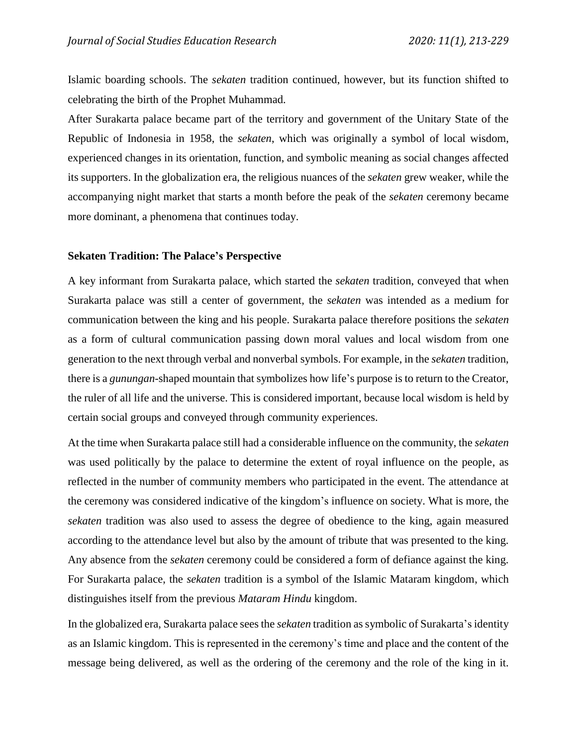Islamic boarding schools. The *sekaten* tradition continued, however, but its function shifted to celebrating the birth of the Prophet Muhammad.

After Surakarta palace became part of the territory and government of the Unitary State of the Republic of Indonesia in 1958, the *sekaten*, which was originally a symbol of local wisdom, experienced changes in its orientation, function, and symbolic meaning as social changes affected its supporters. In the globalization era, the religious nuances of the *sekaten* grew weaker, while the accompanying night market that starts a month before the peak of the *sekaten* ceremony became more dominant, a phenomena that continues today.

### **Sekaten Tradition: The Palace's Perspective**

A key informant from Surakarta palace, which started the *sekaten* tradition, conveyed that when Surakarta palace was still a center of government, the *sekaten* was intended as a medium for communication between the king and his people. Surakarta palace therefore positions the *sekaten* as a form of cultural communication passing down moral values and local wisdom from one generation to the next through verbal and nonverbal symbols. For example, in the *sekaten* tradition, there is a *gunungan*-shaped mountain that symbolizes how life's purpose is to return to the Creator, the ruler of all life and the universe. This is considered important, because local wisdom is held by certain social groups and conveyed through community experiences.

At the time when Surakarta palace still had a considerable influence on the community, the *sekaten* was used politically by the palace to determine the extent of royal influence on the people, as reflected in the number of community members who participated in the event. The attendance at the ceremony was considered indicative of the kingdom's influence on society. What is more, the *sekaten* tradition was also used to assess the degree of obedience to the king, again measured according to the attendance level but also by the amount of tribute that was presented to the king. Any absence from the *sekaten* ceremony could be considered a form of defiance against the king. For Surakarta palace, the *sekaten* tradition is a symbol of the Islamic Mataram kingdom, which distinguishes itself from the previous *Mataram Hindu* kingdom.

In the globalized era, Surakarta palace sees the *sekaten* tradition as symbolic of Surakarta's identity as an Islamic kingdom. This is represented in the ceremony's time and place and the content of the message being delivered, as well as the ordering of the ceremony and the role of the king in it.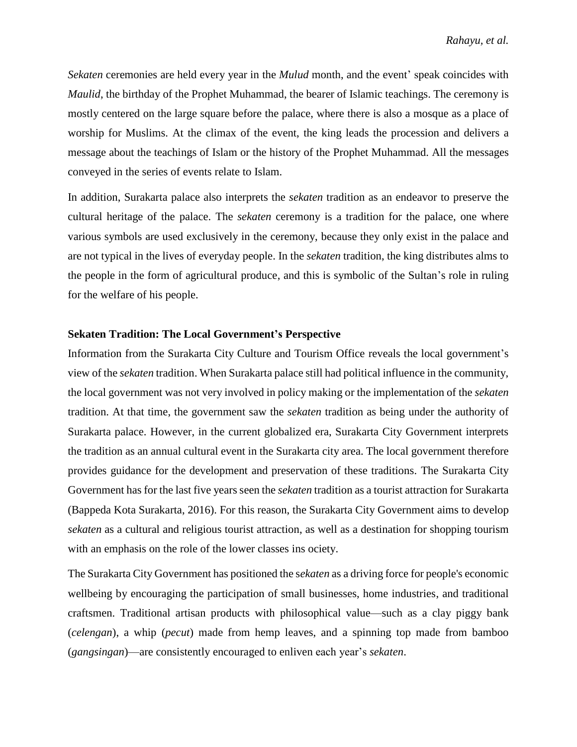*Sekaten* ceremonies are held every year in the *Mulud* month, and the event' speak coincides with *Maulid*, the birthday of the Prophet Muhammad, the bearer of Islamic teachings. The ceremony is mostly centered on the large square before the palace, where there is also a mosque as a place of worship for Muslims. At the climax of the event, the king leads the procession and delivers a message about the teachings of Islam or the history of the Prophet Muhammad. All the messages conveyed in the series of events relate to Islam.

In addition, Surakarta palace also interprets the *sekaten* tradition as an endeavor to preserve the cultural heritage of the palace. The *sekaten* ceremony is a tradition for the palace, one where various symbols are used exclusively in the ceremony, because they only exist in the palace and are not typical in the lives of everyday people. In the *sekaten* tradition, the king distributes alms to the people in the form of agricultural produce, and this is symbolic of the Sultan's role in ruling for the welfare of his people.

## **Sekaten Tradition: The Local Government's Perspective**

Information from the Surakarta City Culture and Tourism Office reveals the local government's view of the *sekaten* tradition. When Surakarta palace still had political influence in the community, the local government was not very involved in policy making or the implementation of the *sekaten*  tradition. At that time, the government saw the *sekaten* tradition as being under the authority of Surakarta palace. However, in the current globalized era, Surakarta City Government interprets the tradition as an annual cultural event in the Surakarta city area. The local government therefore provides guidance for the development and preservation of these traditions. The Surakarta City Government has for the last five years seen the *sekaten* tradition as a tourist attraction for Surakarta (Bappeda Kota Surakarta, 2016). For this reason, the Surakarta City Government aims to develop *sekaten* as a cultural and religious tourist attraction, as well as a destination for shopping tourism with an emphasis on the role of the lower classes ins ociety.

The Surakarta City Government has positioned the s*ekaten* as a driving force for people's economic wellbeing by encouraging the participation of small businesses, home industries, and traditional craftsmen. Traditional artisan products with philosophical value—such as a clay piggy bank (*celengan*), a whip (*pecut*) made from hemp leaves, and a spinning top made from bamboo (*gangsingan*)—are consistently encouraged to enliven each year's *sekaten*.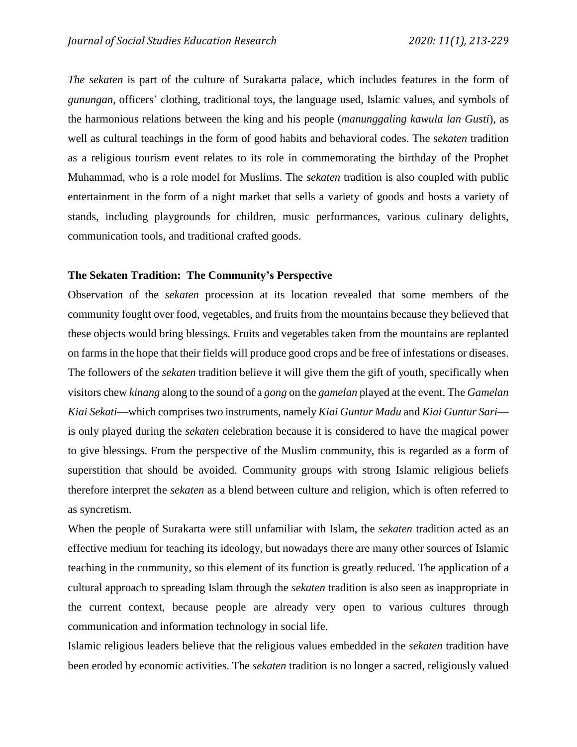*The sekaten* is part of the culture of Surakarta palace, which includes features in the form of *gunungan*, officers' clothing, traditional toys, the language used, Islamic values, and symbols of the harmonious relations between the king and his people (*manunggaling kawula lan Gusti*), as well as cultural teachings in the form of good habits and behavioral codes. The s*ekaten* tradition as a religious tourism event relates to its role in commemorating the birthday of the Prophet Muhammad, who is a role model for Muslims. The *sekaten* tradition is also coupled with public entertainment in the form of a night market that sells a variety of goods and hosts a variety of stands, including playgrounds for children, music performances, various culinary delights, communication tools, and traditional crafted goods.

# **The Sekaten Tradition: The Community's Perspective**

Observation of the *sekaten* procession at its location revealed that some members of the community fought over food, vegetables, and fruits from the mountains because they believed that these objects would bring blessings. Fruits and vegetables taken from the mountains are replanted on farms in the hope that their fields will produce good crops and be free of infestations or diseases. The followers of the *sekaten* tradition believe it will give them the gift of youth, specifically when visitors chew *kinang* along to the sound of a *gong* on the *gamelan* played at the event. The *Gamelan Kiai Sekati*—which comprisestwo instruments, namely *Kiai Guntur Madu* and *Kiai Guntur Sari* is only played during the *sekaten* celebration because it is considered to have the magical power to give blessings. From the perspective of the Muslim community, this is regarded as a form of superstition that should be avoided. Community groups with strong Islamic religious beliefs therefore interpret the *sekaten* as a blend between culture and religion, which is often referred to as syncretism.

When the people of Surakarta were still unfamiliar with Islam, the *sekaten* tradition acted as an effective medium for teaching its ideology, but nowadays there are many other sources of Islamic teaching in the community, so this element of its function is greatly reduced. The application of a cultural approach to spreading Islam through the *sekaten* tradition is also seen as inappropriate in the current context, because people are already very open to various cultures through communication and information technology in social life.

Islamic religious leaders believe that the religious values embedded in the *sekaten* tradition have been eroded by economic activities. The *sekaten* tradition is no longer a sacred, religiously valued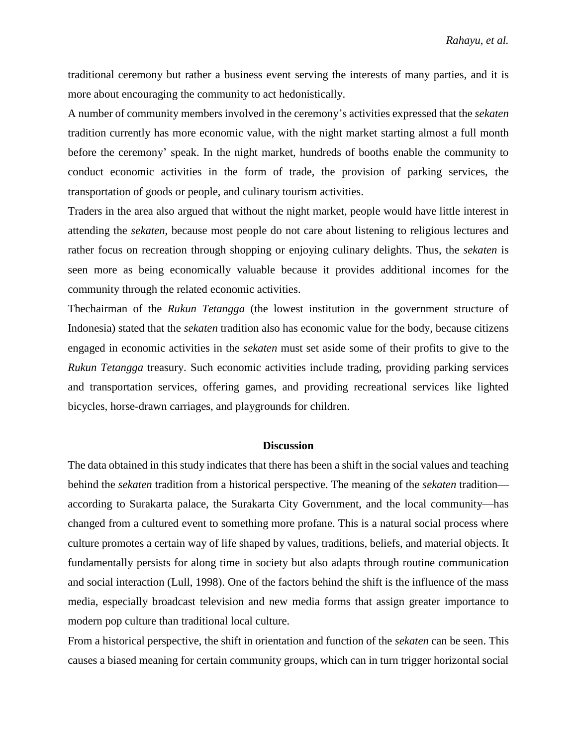traditional ceremony but rather a business event serving the interests of many parties, and it is more about encouraging the community to act hedonistically.

A number of community members involved in the ceremony's activities expressed that the *sekaten* tradition currently has more economic value, with the night market starting almost a full month before the ceremony' speak. In the night market, hundreds of booths enable the community to conduct economic activities in the form of trade, the provision of parking services, the transportation of goods or people, and culinary tourism activities.

Traders in the area also argued that without the night market, people would have little interest in attending the *sekaten*, because most people do not care about listening to religious lectures and rather focus on recreation through shopping or enjoying culinary delights. Thus, the *sekaten* is seen more as being economically valuable because it provides additional incomes for the community through the related economic activities.

Thechairman of the *Rukun Tetangga* (the lowest institution in the government structure of Indonesia) stated that the *sekaten* tradition also has economic value for the body, because citizens engaged in economic activities in the *sekaten* must set aside some of their profits to give to the *Rukun Tetangga* treasury. Such economic activities include trading, providing parking services and transportation services, offering games, and providing recreational services like lighted bicycles, horse-drawn carriages, and playgrounds for children.

#### **Discussion**

The data obtained in this study indicates that there has been a shift in the social values and teaching behind the *sekaten* tradition from a historical perspective. The meaning of the *sekaten* tradition according to Surakarta palace, the Surakarta City Government, and the local community—has changed from a cultured event to something more profane. This is a natural social process where culture promotes a certain way of life shaped by values, traditions, beliefs, and material objects. It fundamentally persists for along time in society but also adapts through routine communication and social interaction (Lull, 1998). One of the factors behind the shift is the influence of the mass media, especially broadcast television and new media forms that assign greater importance to modern pop culture than traditional local culture.

From a historical perspective, the shift in orientation and function of the *sekaten* can be seen. This causes a biased meaning for certain community groups, which can in turn trigger horizontal social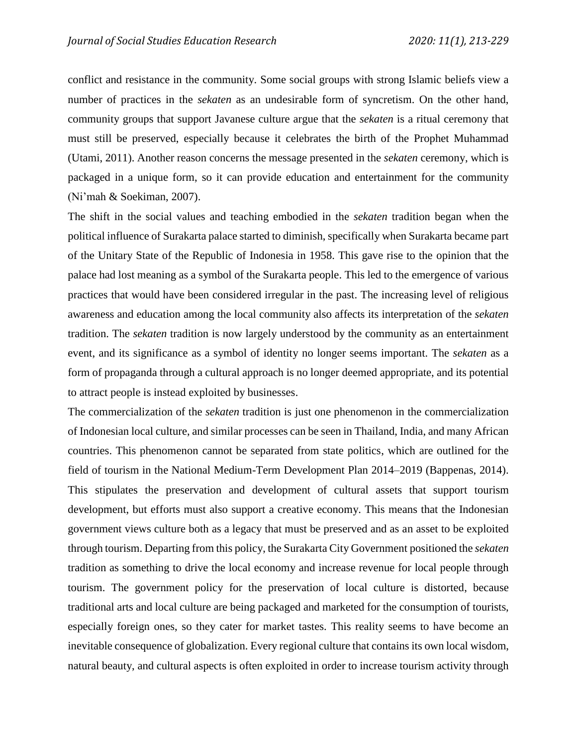conflict and resistance in the community. Some social groups with strong Islamic beliefs view a number of practices in the *sekaten* as an undesirable form of syncretism. On the other hand, community groups that support Javanese culture argue that the *sekaten* is a ritual ceremony that must still be preserved, especially because it celebrates the birth of the Prophet Muhammad (Utami, 2011). Another reason concerns the message presented in the *sekaten* ceremony, which is packaged in a unique form, so it can provide education and entertainment for the community (Ni'mah & Soekiman, 2007).

The shift in the social values and teaching embodied in the *sekaten* tradition began when the political influence of Surakarta palace started to diminish, specifically when Surakarta became part of the Unitary State of the Republic of Indonesia in 1958. This gave rise to the opinion that the palace had lost meaning as a symbol of the Surakarta people. This led to the emergence of various practices that would have been considered irregular in the past. The increasing level of religious awareness and education among the local community also affects its interpretation of the *sekaten*  tradition. The *sekaten* tradition is now largely understood by the community as an entertainment event, and its significance as a symbol of identity no longer seems important. The *sekaten* as a form of propaganda through a cultural approach is no longer deemed appropriate, and its potential to attract people is instead exploited by businesses.

The commercialization of the *sekaten* tradition is just one phenomenon in the commercialization of Indonesian local culture, and similar processes can be seen in Thailand, India, and many African countries. This phenomenon cannot be separated from state politics, which are outlined for the field of tourism in the National Medium-Term Development Plan 2014–2019 (Bappenas, 2014). This stipulates the preservation and development of cultural assets that support tourism development, but efforts must also support a creative economy. This means that the Indonesian government views culture both as a legacy that must be preserved and as an asset to be exploited through tourism. Departing from this policy, the Surakarta City Government positioned the *sekaten* tradition as something to drive the local economy and increase revenue for local people through tourism. The government policy for the preservation of local culture is distorted, because traditional arts and local culture are being packaged and marketed for the consumption of tourists, especially foreign ones, so they cater for market tastes. This reality seems to have become an inevitable consequence of globalization. Every regional culture that contains its own local wisdom, natural beauty, and cultural aspects is often exploited in order to increase tourism activity through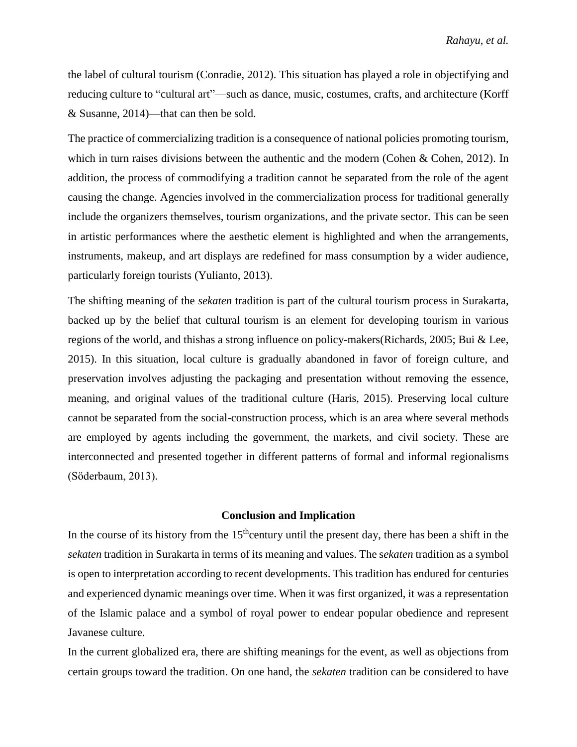the label of cultural tourism (Conradie, 2012). This situation has played a role in objectifying and reducing culture to "cultural art"—such as dance, music, costumes, crafts, and architecture (Korff & Susanne, 2014)—that can then be sold.

The practice of commercializing tradition is a consequence of national policies promoting tourism, which in turn raises divisions between the authentic and the modern (Cohen & Cohen, 2012). In addition, the process of commodifying a tradition cannot be separated from the role of the agent causing the change. Agencies involved in the commercialization process for traditional generally include the organizers themselves, tourism organizations, and the private sector. This can be seen in artistic performances where the aesthetic element is highlighted and when the arrangements, instruments, makeup, and art displays are redefined for mass consumption by a wider audience, particularly foreign tourists (Yulianto, 2013).

The shifting meaning of the *sekaten* tradition is part of the cultural tourism process in Surakarta, backed up by the belief that cultural tourism is an element for developing tourism in various regions of the world, and thishas a strong influence on policy-makers(Richards, 2005; Bui & Lee, 2015). In this situation, local culture is gradually abandoned in favor of foreign culture, and preservation involves adjusting the packaging and presentation without removing the essence, meaning, and original values of the traditional culture (Haris, 2015). Preserving local culture cannot be separated from the social-construction process, which is an area where several methods are employed by agents including the government, the markets, and civil society. These are interconnected and presented together in different patterns of formal and informal regionalisms (Söderbaum, 2013).

## **Conclusion and Implication**

In the course of its history from the  $15<sup>th</sup>$ century until the present day, there has been a shift in the *sekaten* tradition in Surakarta in terms of its meaning and values. The s*ekaten* tradition as a symbol is open to interpretation according to recent developments. This tradition has endured for centuries and experienced dynamic meanings over time. When it was first organized, it was a representation of the Islamic palace and a symbol of royal power to endear popular obedience and represent Javanese culture.

In the current globalized era, there are shifting meanings for the event, as well as objections from certain groups toward the tradition. On one hand, the *sekaten* tradition can be considered to have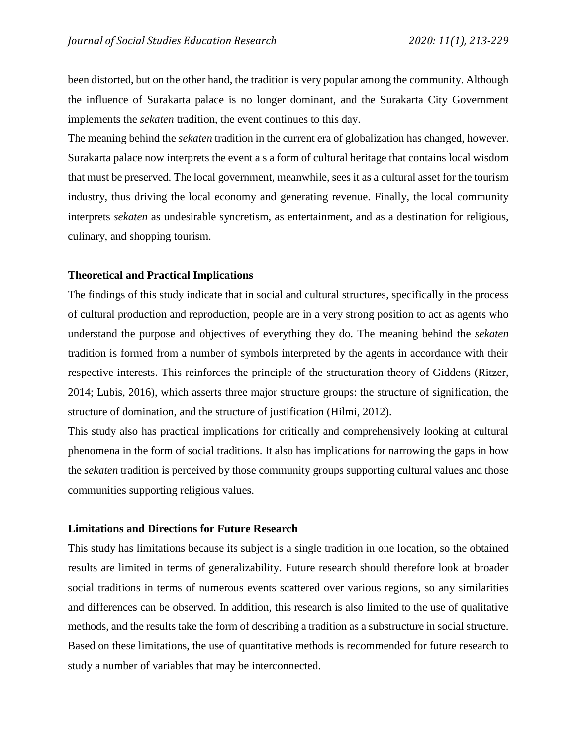been distorted, but on the other hand, the tradition is very popular among the community. Although the influence of Surakarta palace is no longer dominant, and the Surakarta City Government implements the *sekaten* tradition, the event continues to this day.

The meaning behind the *sekaten* tradition in the current era of globalization has changed, however. Surakarta palace now interprets the event a s a form of cultural heritage that contains local wisdom that must be preserved. The local government, meanwhile, sees it as a cultural asset for the tourism industry, thus driving the local economy and generating revenue. Finally, the local community interprets *sekaten* as undesirable syncretism, as entertainment, and as a destination for religious, culinary, and shopping tourism.

## **Theoretical and Practical Implications**

The findings of this study indicate that in social and cultural structures, specifically in the process of cultural production and reproduction, people are in a very strong position to act as agents who understand the purpose and objectives of everything they do. The meaning behind the *sekaten* tradition is formed from a number of symbols interpreted by the agents in accordance with their respective interests. This reinforces the principle of the structuration theory of Giddens (Ritzer, 2014; Lubis, 2016), which asserts three major structure groups: the structure of signification, the structure of domination, and the structure of justification (Hilmi, 2012).

This study also has practical implications for critically and comprehensively looking at cultural phenomena in the form of social traditions. It also has implications for narrowing the gaps in how the *sekaten* tradition is perceived by those community groups supporting cultural values and those communities supporting religious values.

# **Limitations and Directions for Future Research**

This study has limitations because its subject is a single tradition in one location, so the obtained results are limited in terms of generalizability. Future research should therefore look at broader social traditions in terms of numerous events scattered over various regions, so any similarities and differences can be observed. In addition, this research is also limited to the use of qualitative methods, and the results take the form of describing a tradition as a substructure in social structure. Based on these limitations, the use of quantitative methods is recommended for future research to study a number of variables that may be interconnected.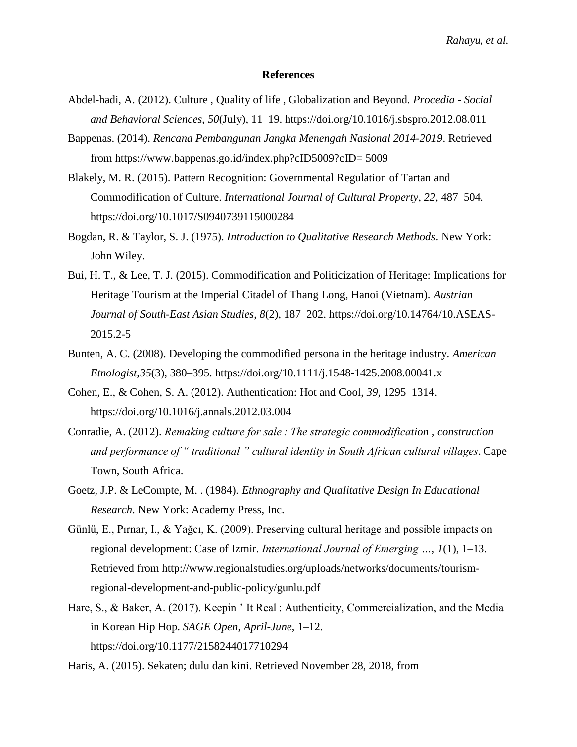#### **References**

- Abdel-hadi, A. (2012). Culture , Quality of life , Globalization and Beyond. *Procedia - Social and Behavioral Sciences*, *50*(July), 11–19. https://doi.org/10.1016/j.sbspro.2012.08.011
- Bappenas. (2014). *Rencana Pembangunan Jangka Menengah Nasional 2014-2019*. Retrieved from https://www.bappenas.go.id/index.php?cID5009?cID= 5009
- Blakely, M. R. (2015). Pattern Recognition: Governmental Regulation of Tartan and Commodification of Culture. *International Journal of Cultural Property*, *22*, 487–504. https://doi.org/10.1017/S0940739115000284
- Bogdan, R. & Taylor, S. J. (1975). *Introduction to Qualitative Research Methods*. New York: John Wiley.
- Bui, H. T., & Lee, T. J. (2015). Commodification and Politicization of Heritage: Implications for Heritage Tourism at the Imperial Citadel of Thang Long, Hanoi (Vietnam). *Austrian Journal of South-East Asian Studies*, *8*(2), 187–202. https://doi.org/10.14764/10.ASEAS-2015.2-5
- Bunten, A. C. (2008). Developing the commodified persona in the heritage industry. *American Etnologist,35*(3), 380–395. https://doi.org/10.1111/j.1548-1425.2008.00041.x
- Cohen, E., & Cohen, S. A. (2012). Authentication: Hot and Cool, *39*, 1295–1314. https://doi.org/10.1016/j.annals.2012.03.004
- Conradie, A. (2012). *Remaking culture for sale : The strategic commodification , construction and performance of " traditional " cultural identity in South African cultural villages*. Cape Town, South Africa.
- Goetz, J.P. & LeCompte, M. . (1984). *Ethnography and Qualitative Design In Educational Research*. New York: Academy Press, Inc.
- Günlü, E., Pırnar, I., & Yağcı, K. (2009). Preserving cultural heritage and possible impacts on regional development: Case of Izmir. *International Journal of Emerging …*, *1*(1), 1–13. Retrieved from http://www.regionalstudies.org/uploads/networks/documents/tourismregional-development-and-public-policy/gunlu.pdf
- Hare, S., & Baker, A. (2017). Keepin ' It Real : Authenticity, Commercialization, and the Media in Korean Hip Hop. *SAGE Open*, *April*-*June*, 1–12. https://doi.org/10.1177/2158244017710294

Haris, A. (2015). Sekaten; dulu dan kini. Retrieved November 28, 2018, from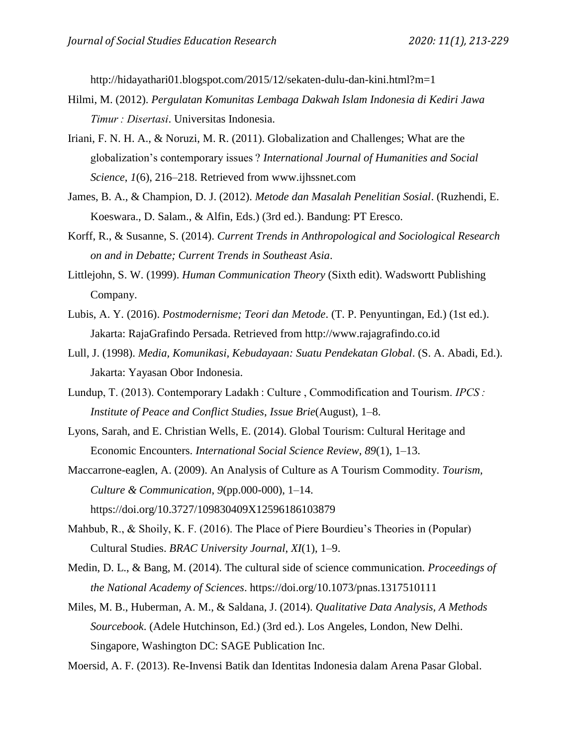http://hidayathari01.blogspot.com/2015/12/sekaten-dulu-dan-kini.html?m=1

- Hilmi, M. (2012). *Pergulatan Komunitas Lembaga Dakwah Islam Indonesia di Kediri Jawa Timur : Disertasi*. Universitas Indonesia.
- Iriani, F. N. H. A., & Noruzi, M. R. (2011). Globalization and Challenges; What are the globalization's contemporary issues ? *International Journal of Humanities and Social Science*, *1*(6), 216–218. Retrieved from www.ijhssnet.com
- James, B. A., & Champion, D. J. (2012). *Metode dan Masalah Penelitian Sosial*. (Ruzhendi, E. Koeswara., D. Salam., & Alfin, Eds.) (3rd ed.). Bandung: PT Eresco.
- Korff, R., & Susanne, S. (2014). *Current Trends in Anthropological and Sociological Research on and in Debatte; Current Trends in Southeast Asia*.
- Littlejohn, S. W. (1999). *Human Communication Theory* (Sixth edit). Wadswortt Publishing Company.
- Lubis, A. Y. (2016). *Postmodernisme; Teori dan Metode*. (T. P. Penyuntingan, Ed.) (1st ed.). Jakarta: RajaGrafindo Persada. Retrieved from http://www.rajagrafindo.co.id
- Lull, J. (1998). *Media, Komunikasi, Kebudayaan: Suatu Pendekatan Global*. (S. A. Abadi, Ed.). Jakarta: Yayasan Obor Indonesia.
- Lundup, T. (2013). Contemporary Ladakh : Culture , Commodification and Tourism. *IPCS : Institute of Peace and Conflict Studies*, *Issue Brie*(August), 1–8.
- Lyons, Sarah, and E. Christian Wells, E. (2014). Global Tourism: Cultural Heritage and Economic Encounters. *International Social Science Review*, *89*(1), 1–13.
- Maccarrone-eaglen, A. (2009). An Analysis of Culture as A Tourism Commodity. *Tourism, Culture & Communication*, *9*(pp.000-000), 1–14. https://doi.org/10.3727/109830409X12596186103879
- Mahbub, R., & Shoily, K. F. (2016). The Place of Piere Bourdieu's Theories in (Popular) Cultural Studies. *BRAC University Journal*, *XI*(1), 1–9.
- Medin, D. L., & Bang, M. (2014). The cultural side of science communication. *Proceedings of the National Academy of Sciences*. https://doi.org/10.1073/pnas.1317510111
- Miles, M. B., Huberman, A. M., & Saldana, J. (2014). *Qualitative Data Analysis, A Methods Sourcebook*. (Adele Hutchinson, Ed.) (3rd ed.). Los Angeles, London, New Delhi. Singapore, Washington DC: SAGE Publication Inc.

Moersid, A. F. (2013). Re-Invensi Batik dan Identitas Indonesia dalam Arena Pasar Global.